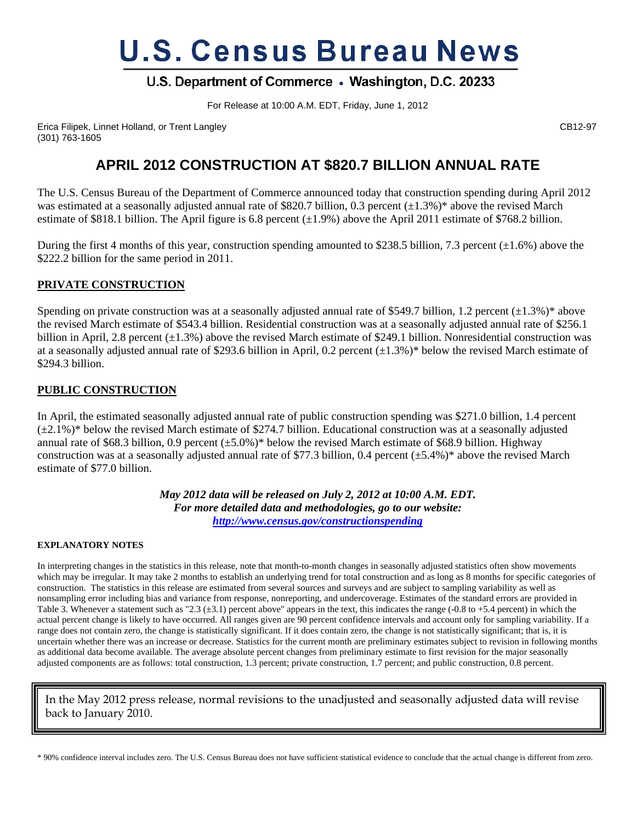# **U.S. Census Bureau News**

### U.S. Department of Commerce . Washington, D.C. 20233

For Release at 10:00 A.M. EDT, Friday, June 1, 2012

Erica Filipek, Linnet Holland, or Trent Langley CB12-97 (301) 763-1605

## **APRIL 2012 CONSTRUCTION AT \$820.7 BILLION ANNUAL RATE**

The U.S. Census Bureau of the Department of Commerce announced today that construction spending during April 2012 was estimated at a seasonally adjusted annual rate of \$820.7 billion, 0.3 percent  $(\pm 1.3\%)^*$  above the revised March estimate of \$818.1 billion. The April figure is 6.8 percent  $(\pm 1.9\%)$  above the April 2011 estimate of \$768.2 billion.

During the first 4 months of this year, construction spending amounted to \$238.5 billion, 7.3 percent  $(\pm 1.6\%)$  above the \$222.2 billion for the same period in 2011.

#### **PRIVATE CONSTRUCTION**

Spending on private construction was at a seasonally adjusted annual rate of \$549.7 billion, 1.2 percent  $(\pm 1.3\%)^*$  above the revised March estimate of \$543.4 billion. Residential construction was at a seasonally adjusted annual rate of \$256.1 billion in April, 2.8 percent  $(\pm 1.3\%)$  above the revised March estimate of \$249.1 billion. Nonresidential construction was at a seasonally adjusted annual rate of \$293.6 billion in April, 0.2 percent  $(\pm 1.3\%)^*$  below the revised March estimate of \$294.3 billion.

#### **PUBLIC CONSTRUCTION**

In April, the estimated seasonally adjusted annual rate of public construction spending was \$271.0 billion, 1.4 percent  $(\pm 2.1\%)^*$  below the revised March estimate of \$274.7 billion. Educational construction was at a seasonally adjusted annual rate of \$68.3 billion, 0.9 percent  $(\pm 5.0\%)^*$  below the revised March estimate of \$68.9 billion. Highway construction was at a seasonally adjusted annual rate of \$77.3 billion, 0.4 percent  $(\pm 5.4\%)^*$  above the revised March estimate of \$77.0 billion.

> *May 2012 data will be released on July 2, 2012 at 10:00 A.M. EDT. For more detailed data and methodologies, go to our website: http://www.census.gov/constructionspending*

#### **EXPLANATORY NOTES**

In interpreting changes in the statistics in this release, note that month-to-month changes in seasonally adjusted statistics often show movements which may be irregular. It may take 2 months to establish an underlying trend for total construction and as long as 8 months for specific categories of construction. The statistics in this release are estimated from several sources and surveys and are subject to sampling variability as well as nonsampling error including bias and variance from response, nonreporting, and undercoverage. Estimates of the standard errors are provided in Table 3. Whenever a statement such as "2.3 ( $\pm$ 3.1) percent above" appears in the text, this indicates the range (-0.8 to +5.4 percent) in which the actual percent change is likely to have occurred. All ranges given are 90 percent confidence intervals and account only for sampling variability. If a range does not contain zero, the change is statistically significant. If it does contain zero, the change is not statistically significant; that is, it is uncertain whether there was an increase or decrease. Statistics for the current month are preliminary estimates subject to revision in following months as additional data become available. The average absolute percent changes from preliminary estimate to first revision for the major seasonally adjusted components are as follows: total construction, 1.3 percent; private construction, 1.7 percent; and public construction, 0.8 percent.

In the May 2012 press release, normal revisions to the unadjusted and seasonally adjusted data will revise back to January 2010.

\* 90% confidence interval includes zero. The U.S. Census Bureau does not have sufficient statistical evidence to conclude that the actual change is different from zero.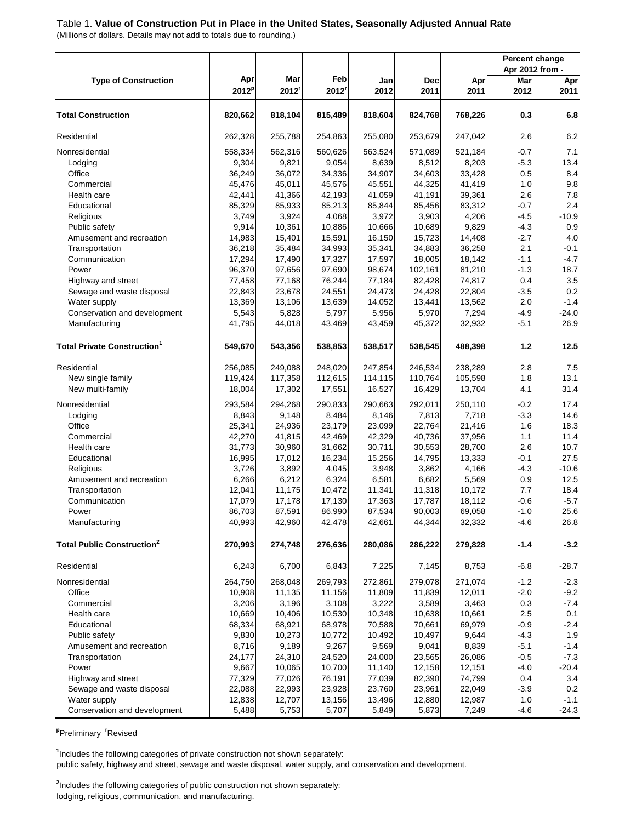#### Table 1. **Value of Construction Put in Place in the United States, Seasonally Adjusted Annual Rate**

(Millions of dollars. Details may not add to totals due to rounding.)

|                                                |                  |                  |                  |                  |                   |                  |               | Percent change<br>Apr 2012 from - |
|------------------------------------------------|------------------|------------------|------------------|------------------|-------------------|------------------|---------------|-----------------------------------|
| <b>Type of Construction</b>                    | Apr              | Mar              | Feb              | Jan              | Dec               | Apr              | Mar           | Apr                               |
|                                                | $2012^p$         | 2012             | $2012^r$         | 2012             | 2011              | 2011             | 2012          | 2011                              |
| <b>Total Construction</b>                      | 820,662          | 818,104          | 815,489          | 818,604          | 824,768           | 768,226          | 0.3           | 6.8                               |
| Residential                                    | 262,328          | 255,788          | 254,863          | 255,080          | 253,679           | 247,042          | 2.6           | 6.2                               |
| Nonresidential                                 | 558,334          | 562,316          | 560,626          | 563,524          | 571,089           | 521,184          | $-0.7$        | 7.1                               |
| Lodging                                        | 9,304            | 9,821            | 9,054            | 8,639            | 8,512             | 8,203            | $-5.3$        | 13.4                              |
| Office                                         | 36,249           | 36,072           | 34,336           | 34,907           | 34,603            | 33,428           | 0.5           | 8.4                               |
| Commercial                                     | 45,476           | 45,011           | 45,576           | 45,551           | 44,325            | 41,419           | 1.0           | 9.8                               |
| Health care                                    | 42,441           | 41,366           | 42,193           | 41,059           | 41,191            | 39,361           | 2.6           | 7.8                               |
| Educational                                    | 85,329           | 85,933           | 85,213           | 85,844           | 85,456            | 83,312           | $-0.7$        | 2.4                               |
| Religious                                      | 3,749            | 3,924            | 4,068            | 3,972            | 3,903             | 4,206            | $-4.5$        | $-10.9$                           |
| Public safety                                  | 9,914            | 10,361           | 10,886           | 10,666           | 10,689            | 9,829            | $-4.3$        | 0.9                               |
| Amusement and recreation                       | 14,983           | 15,401           | 15,591           | 16,150           | 15,723            | 14,408           | $-2.7$        | 4.0                               |
| Transportation                                 | 36,218           | 35,484<br>17,490 | 34,993           | 35,341           | 34,883            | 36,258           | 2.1<br>$-1.1$ | $-0.1$<br>$-4.7$                  |
| Communication<br>Power                         | 17,294<br>96,370 | 97,656           | 17,327<br>97,690 | 17,597<br>98,674 | 18,005<br>102,161 | 18,142<br>81,210 | $-1.3$        | 18.7                              |
| Highway and street                             | 77,458           | 77,168           | 76,244           | 77,184           | 82,428            | 74,817           | 0.4           | 3.5                               |
| Sewage and waste disposal                      | 22,843           | 23,678           | 24,551           | 24,473           | 24,428            | 22,804           | $-3.5$        | 0.2                               |
| Water supply                                   | 13,369           | 13,106           | 13,639           | 14,052           | 13,441            | 13,562           | 2.0           | $-1.4$                            |
| Conservation and development                   | 5,543            | 5,828            | 5,797            | 5,956            | 5,970             | 7,294            | $-4.9$        | $-24.0$                           |
| Manufacturing                                  | 41,795           | 44,018           | 43,469           | 43,459           | 45,372            | 32,932           | $-5.1$        | 26.9                              |
|                                                |                  |                  |                  |                  |                   |                  |               |                                   |
| <b>Total Private Construction</b> <sup>1</sup> | 549,670          | 543,356          | 538,853          | 538,517          | 538,545           | 488,398          | $1.2$         | 12.5                              |
| Residential                                    | 256,085          | 249,088          | 248,020          | 247,854          | 246,534           | 238,289          | 2.8           | 7.5                               |
| New single family                              | 119,424          | 117,358          | 112,615          | 114,115          | 110,764           | 105,598          | 1.8           | 13.1                              |
| New multi-family                               | 18,004           | 17,302           | 17,551           | 16,527           | 16,429            | 13,704           | 4.1           | 31.4                              |
| Nonresidential                                 | 293,584          | 294,268          | 290,833          | 290,663          | 292,011           | 250,110          | $-0.2$        | 17.4                              |
| Lodging                                        | 8,843            | 9,148            | 8,484            | 8,146            | 7,813             | 7,718            | $-3.3$        | 14.6                              |
| Office                                         | 25,341           | 24,936           | 23,179           | 23,099           | 22,764            | 21,416           | 1.6           | 18.3                              |
| Commercial                                     | 42,270           | 41,815           | 42,469           | 42,329           | 40,736            | 37,956           | 1.1           | 11.4                              |
| Health care                                    | 31,773           | 30,960           | 31,662           | 30,711           | 30,553            | 28,700           | 2.6           | 10.7                              |
| Educational                                    | 16,995           | 17,012           | 16,234           | 15,256           | 14,795            | 13,333           | $-0.1$        | 27.5                              |
| Religious                                      | 3,726            | 3,892            | 4,045            | 3,948            | 3,862             | 4,166            | $-4.3$        | $-10.6$                           |
| Amusement and recreation                       | 6,266            | 6,212            | 6,324            | 6,581            | 6,682             | 5,569            | 0.9           | 12.5                              |
| Transportation                                 | 12,041           | 11,175           | 10,472           | 11,341           | 11,318            | 10,172           | 7.7           | 18.4                              |
| Communication                                  | 17,079           | 17,178           | 17,130           | 17,363           | 17,787            | 18,112           | $-0.6$        | $-5.7$                            |
| Power                                          | 86,703           | 87,591           | 86,990           | 87,534           | 90,003            | 69,058           | $-1.0$        | 25.6                              |
| Manufacturing                                  | 40,993           | 42,960           | 42,478           | 42,661           | 44,344            | 32,332           | $-4.6$        | 26.8                              |
| <b>Total Public Construction<sup>2</sup></b>   | 270,993          | 274,748          | 276,636          | 280,086          | 286,222           | 279,828          | $-1.4$        | $-3.2$                            |
| Residential                                    | 6,243            | 6,700            | 6,843            | 7,225            | 7,145             | 8,753            | $-6.8$        | $-28.7$                           |
| Nonresidential                                 | 264,750          | 268,048          | 269,793          | 272,861          | 279,078           | 271,074          | $-1.2$        | $-2.3$                            |
| Office                                         | 10,908           | 11,135           | 11,156           | 11,809           | 11,839            | 12,011           | $-2.0$        | $-9.2$                            |
| Commercial                                     | 3,206            | 3,196            | 3,108            | 3,222            | 3,589             | 3,463            | 0.3           | $-7.4$                            |
| Health care                                    | 10,669           | 10,406           | 10,530           | 10,348           | 10,638            | 10,661           | 2.5           | 0.1                               |
| Educational                                    | 68,334           | 68,921           | 68,978           | 70,588           | 70,661            | 69,979           | $-0.9$        | $-2.4$                            |
| Public safety                                  | 9,830            | 10,273           | 10,772           | 10,492           | 10,497            | 9,644            | $-4.3$        | 1.9                               |
| Amusement and recreation                       | 8,716            | 9,189            | 9,267            | 9,569            | 9,041             | 8,839            | $-5.1$        | $-1.4$                            |
| Transportation                                 | 24,177           | 24,310           | 24,520           | 24,000           | 23,565            | 26,086           | $-0.5$        | $-7.3$                            |
| Power                                          | 9,667            | 10,065           | 10,700           | 11,140           | 12,158            | 12,151           | $-4.0$        | $-20.4$                           |
| Highway and street                             | 77,329           | 77,026           | 76,191           | 77,039           | 82,390            | 74,799           | 0.4           | 3.4                               |
| Sewage and waste disposal                      | 22,088           | 22,993           | 23,928           | 23,760           | 23,961            | 22,049           | $-3.9$        | 0.2                               |
| Water supply                                   | 12,838           | 12,707           | 13,156           | 13,496           | 12,880            | 12,987           | 1.0           | $-1.1$                            |
| Conservation and development                   | 5,488            | 5,753            | 5,707            | 5,849            | 5,873             | 7,249            | $-4.6$        | $-24.3$                           |

**<sup>p</sup>**Preliminary **<sup>r</sup>**Revised

public safety, highway and street, sewage and waste disposal, water supply, and conservation and development. **1** Includes the following categories of private construction not shown separately:

**2** Includes the following categories of public construction not shown separately: lodging, religious, communication, and manufacturing.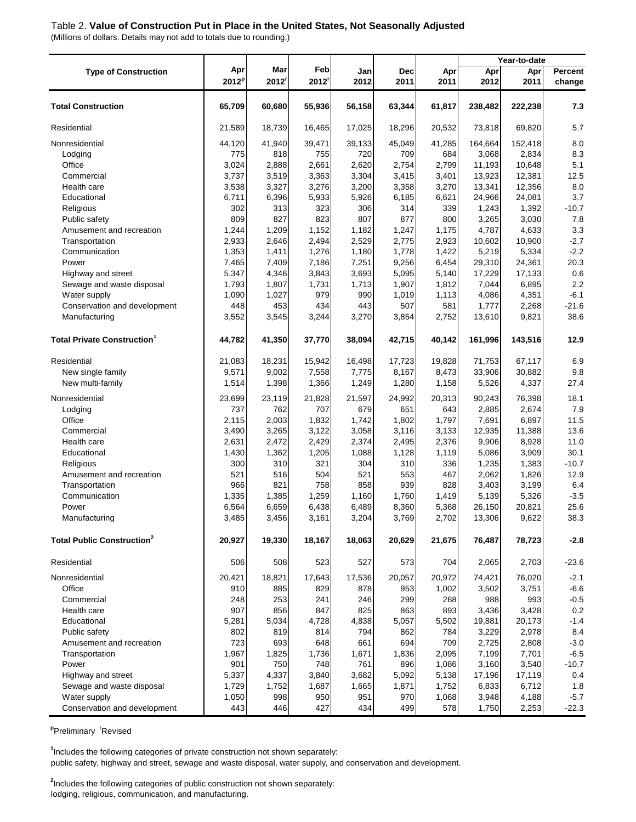#### Table 2. **Value of Construction Put in Place in the United States, Not Seasonally Adjusted**

(Millions of dollars. Details may not add to totals due to rounding.)

|                                              |                          |              |             |             |             |             |             | Year-to-date |                          |
|----------------------------------------------|--------------------------|--------------|-------------|-------------|-------------|-------------|-------------|--------------|--------------------------|
| <b>Type of Construction</b>                  | Apr<br>2012 <sup>p</sup> | Mar<br>2012' | Feb<br>2012 | Jan<br>2012 | Dec<br>2011 | Apr<br>2011 | Apr<br>2012 | Apr<br>2011  | <b>Percent</b><br>change |
| <b>Total Construction</b>                    | 65,709                   | 60,680       | 55,936      | 56,158      | 63,344      | 61,817      | 238,482     | 222,238      | 7.3                      |
| Residential                                  | 21,589                   | 18,739       | 16,465      | 17,025      | 18,296      | 20,532      | 73,818      | 69,820       | 5.7                      |
| Nonresidential                               | 44,120                   | 41,940       | 39,471      | 39,133      | 45,049      | 41,285      | 164,664     | 152,418      | 8.0                      |
| Lodging                                      | 775                      | 818          | 755         | 720         | 709         | 684         | 3,068       | 2,834        | 8.3                      |
| Office                                       | 3,024                    | 2,888        | 2,661       | 2,620       | 2,754       | 2,799       | 11,193      | 10,648       | 5.1                      |
| Commercial                                   | 3,737                    | 3,519        | 3,363       | 3,304       | 3,415       | 3,401       | 13,923      | 12,381       | 12.5                     |
| Health care                                  | 3,538                    | 3,327        | 3,276       | 3,200       | 3,358       | 3,270       | 13,341      | 12,356       | 8.0                      |
| Educational                                  | 6,711                    | 6,396        | 5,933       | 5,926       | 6,185       | 6,621       | 24,966      | 24,081       | 3.7                      |
| Religious                                    | 302                      | 313          | 323         | 306         | 314         | 339         | 1,243       | 1,392        | $-10.7$                  |
| Public safety                                | 809                      | 827          | 823         | 807         | 877         | 800         | 3,265       | 3,030        | 7.8                      |
| Amusement and recreation                     | 1,244                    | 1,209        | 1,152       | 1,182       | 1,247       | 1,175       | 4,787       | 4,633        | 3.3                      |
| Transportation                               | 2,933                    | 2,646        | 2,494       | 2,529       | 2,775       | 2,923       | 10,602      | 10,900       | $-2.7$                   |
| Communication                                | 1,353                    | 1,411        | 1,276       | 1,180       | 1,778       | 1,422       | 5,219       | 5,334        | $-2.2$                   |
| Power                                        | 7,465                    | 7,409        | 7,186       | 7,251       | 9,256       | 6,454       | 29,310      | 24,361       | 20.3                     |
| Highway and street                           | 5,347                    | 4,346        | 3,843       | 3,693       | 5,095       | 5,140       | 17,229      | 17,133       | 0.6                      |
| Sewage and waste disposal                    | 1,793                    | 1,807        | 1,731       | 1,713       | 1,907       | 1,812       | 7,044       | 6,895        | 2.2                      |
| Water supply                                 | 1,090                    | 1,027        | 979         | 990         | 1,019       | 1,113       | 4,086       | 4,351        | $-6.1$                   |
| Conservation and development                 | 448                      | 453          | 434         | 443         | 507         | 581         | 1,777       | 2,268        | $-21.6$                  |
| Manufacturing                                | 3,552                    | 3,545        | 3,244       | 3,270       | 3,854       | 2,752       | 13,610      | 9,821        | 38.6                     |
| <b>Total Private Construction</b>            | 44,782                   | 41,350       | 37,770      | 38,094      | 42,715      | 40,142      | 161,996     | 143,516      | 12.9                     |
| Residential                                  | 21,083                   | 18,231       | 15,942      | 16,498      | 17,723      | 19,828      | 71,753      | 67,117       | 6.9                      |
| New single family                            | 9,571                    | 9,002        | 7,558       | 7,775       | 8,167       | 8,473       | 33,906      | 30,882       | 9.8                      |
| New multi-family                             | 1,514                    | 1,398        | 1,366       | 1,249       | 1,280       | 1,158       | 5,526       | 4,337        | 27.4                     |
| Nonresidential                               | 23,699                   | 23,119       | 21,828      | 21,597      | 24,992      | 20,313      | 90,243      | 76,398       | 18.1                     |
| Lodging                                      | 737                      | 762          | 707         | 679         | 651         | 643         | 2,885       | 2,674        | 7.9                      |
| Office                                       | 2,115                    | 2,003        | 1,832       | 1,742       | 1,802       | 1,797       | 7,691       | 6,897        | 11.5                     |
| Commercial                                   | 3,490                    | 3,265        | 3,122       | 3,058       | 3,116       | 3,133       | 12,935      | 11,388       | 13.6                     |
| Health care                                  | 2,631                    | 2,472        | 2,429       | 2,374       | 2,495       | 2,376       | 9,906       | 8,928        | 11.0                     |
| Educational                                  | 1,430                    | 1,362        | 1,205       | 1,088       | 1,128       | 1,119       | 5,086       | 3,909        | 30.1                     |
| Religious                                    | 300                      | 310          | 321         | 304         | 310         | 336         | 1,235       | 1,383        | $-10.7$                  |
| Amusement and recreation                     | 521                      | 516          | 504         | 521         | 553         | 467         | 2,062       | 1,826        | 12.9                     |
| Transportation                               | 966                      | 821          | 758         | 858         | 939         | 828         | 3,403       | 3,199        | 6.4                      |
| Communication                                | 1,335                    | 1,385        | 1,259       | 1,160       | 1,760       | 1,419       | 5,139       | 5,326        | $-3.5$                   |
| Power                                        | 6,564                    | 6,659        | 6,438       | 6,489       | 8,360       | 5,368       | 26,150      | 20,821       | 25.6                     |
| Manufacturing                                | 3,485                    | 3,456        | 3,161       | 3,204       | 3,769       | 2,702       | 13,306      | 9,622        | 38.3                     |
| <b>Total Public Construction<sup>2</sup></b> | 20,927                   | 19,330       | 18,167      | 18,063      | 20,629      | 21,675      | 76,487      | 78,723       | $-2.8$                   |
| Residential                                  | 506                      | 508          | 523         | 527         | 573         | 704         | 2,065       | 2,703        | $-23.6$                  |
| Nonresidential                               | 20,421                   | 18,821       | 17,643      | 17,536      | 20,057      | 20,972      | 74,421      | 76,020       | $-2.1$                   |
| Office                                       | 910                      | 885          | 829         | 878         | 953         | 1,002       | 3,502       | 3,751        | $-6.6$                   |
| Commercial                                   | 248                      | 253          | 241         | 246         | 299         | 268         | 988         | 993          | $-0.5$                   |
| Health care                                  | 907                      | 856          | 847         | 825         | 863         | 893         | 3,436       | 3,428        | 0.2                      |
| Educational                                  | 5,281                    | 5,034        | 4,728       | 4,838       | 5,057       | 5,502       | 19,881      | 20,173       | $-1.4$                   |
| Public safety                                | 802                      | 819          | 814         | 794         | 862         | 784         | 3,229       | 2,978        | 8.4                      |
| Amusement and recreation                     | 723                      | 693          | 648         | 661         | 694         | 709         | 2,725       | 2,808        | $-3.0$                   |
| Transportation                               | 1,967                    | 1,825        | 1,736       | 1,671       | 1,836       | 2,095       | 7,199       | 7,701        | $-6.5$                   |
| Power                                        | 901                      | 750          | 748         | 761         | 896         | 1,086       | 3,160       | 3,540        | $-10.7$                  |
| Highway and street                           | 5,337                    | 4,337        | 3,840       | 3,682       | 5,092       | 5,138       | 17,196      | 17,119       | 0.4                      |
| Sewage and waste disposal                    | 1,729                    | 1,752        | 1,687       | 1,665       | 1,871       | 1,752       | 6,833       | 6,712        | 1.8                      |
| Water supply                                 | 1,050                    | 998          | 950         | 951         | 970         | 1,068       | 3,948       | 4,188        | $-5.7$                   |
| Conservation and development                 | 443                      | 446          | 427         | 434         | 499         | 578         | 1,750       | 2,253        | $-22.3$                  |

**<sup>p</sup>**Preliminary **<sup>r</sup>**Revised

public safety, highway and street, sewage and waste disposal, water supply, and conservation and development. **1** Includes the following categories of private construction not shown separately:

**2** Includes the following categories of public construction not shown separately: lodging, religious, communication, and manufacturing.